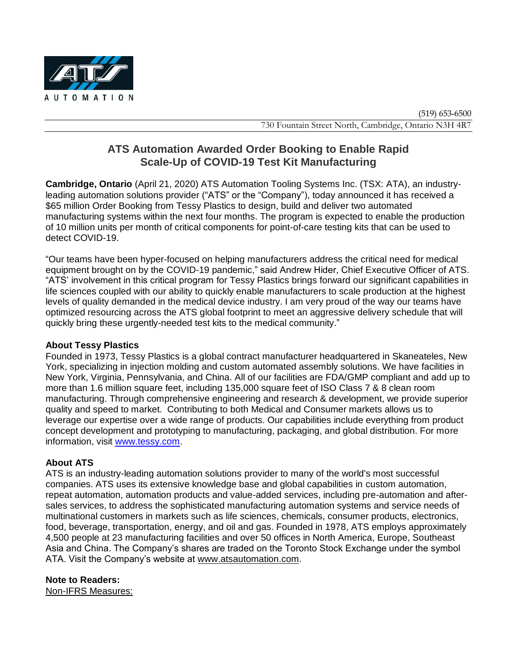

# **ATS Automation Awarded Order Booking to Enable Rapid Scale-Up of COVID-19 Test Kit Manufacturing**

**Cambridge, Ontario** (April 21, 2020) ATS Automation Tooling Systems Inc. (TSX: ATA), an industryleading automation solutions provider ("ATS" or the "Company"), today announced it has received a \$65 million Order Booking from Tessy Plastics to design, build and deliver two automated manufacturing systems within the next four months. The program is expected to enable the production of 10 million units per month of critical components for point-of-care testing kits that can be used to detect COVID-19.

"Our teams have been hyper-focused on helping manufacturers address the critical need for medical equipment brought on by the COVID-19 pandemic," said Andrew Hider, Chief Executive Officer of ATS. "ATS' involvement in this critical program for Tessy Plastics brings forward our significant capabilities in life sciences coupled with our ability to quickly enable manufacturers to scale production at the highest levels of quality demanded in the medical device industry. I am very proud of the way our teams have optimized resourcing across the ATS global footprint to meet an aggressive delivery schedule that will quickly bring these urgently-needed test kits to the medical community."

## **About Tessy Plastics**

Founded in 1973, Tessy Plastics is a global contract manufacturer headquartered in Skaneateles, New York, specializing in injection molding and custom automated assembly solutions. We have facilities in New York, Virginia, Pennsylvania, and China. All of our facilities are FDA/GMP compliant and add up to more than 1.6 million square feet, including 135,000 square feet of ISO Class 7 & 8 clean room manufacturing. Through comprehensive engineering and research & development, we provide superior quality and speed to market. Contributing to both Medical and Consumer markets allows us to leverage our expertise over a wide range of products. Our capabilities include everything from product concept development and prototyping to manufacturing, packaging, and global distribution. For more information, visit [www.tessy.com.](http://www.tessy.com/)

## **About ATS**

ATS is an industry-leading automation solutions provider to many of the world's most successful companies. ATS uses its extensive knowledge base and global capabilities in custom automation, repeat automation, automation products and value-added services, including pre-automation and aftersales services, to address the sophisticated manufacturing automation systems and service needs of multinational customers in markets such as life sciences, chemicals, consumer products, electronics, food, beverage, transportation, energy, and oil and gas. Founded in 1978, ATS employs approximately 4,500 people at 23 manufacturing facilities and over 50 offices in North America, Europe, Southeast Asia and China. The Company's shares are traded on the Toronto Stock Exchange under the symbol ATA. Visit the Company's website at [www.atsautomation.com.](http://www.atsautomation.com/)

**Note to Readers:** Non-IFRS Measures: